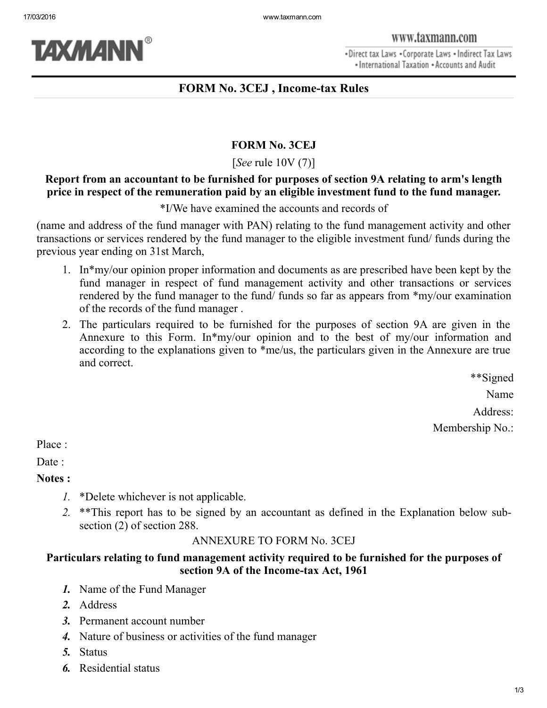## FORM No. 3CEJ

[See rule 10V (7)]

# Report from an accountant to be furnished for purposes of section 9A relating to arm's length price in respect of the remuneration paid by an eligible investment fund to the fund manager.

\*I/We have examined the accounts and records of

(name and address of the fund manager with PAN) relating to the fund management activity and other transactions or services rendered by the fund manager to the eligible investment fund/ funds during the previous year ending on 31st March,

- 1. In\*my/our opinion proper information and documents as are prescribed have been kept by the fund manager in respect of fund management activity and other transactions or services rendered by the fund manager to the fund/ funds so far as appears from \*my/our examination of the records of the fund manager .
- 2. The particulars required to be furnished for the purposes of section 9A are given in the Annexure to this Form. In\*my/our opinion and to the best of my/our information and according to the explanations given to \*me/us, the particulars given in the Annexure are true and correct.

\*\*Signed Name Address: Membership No.:

Place :

Date ·

#### Notes :

- 1. \*Delete whichever is not applicable.
- 2. \*\*This report has to be signed by an accountant as defined in the Explanation below subsection (2) of section 288.

### ANNEXURE TO FORM No. 3CEJ

#### Particulars relating to fund management activity required to be furnished for the purposes of section 9A of the Income-tax Act, 1961

- 1. Name of the Fund Manager
- 2. Address
- 3. Permanent account number
- 4. Nature of business or activities of the fund manager
- 5. Status
- 6. Residential status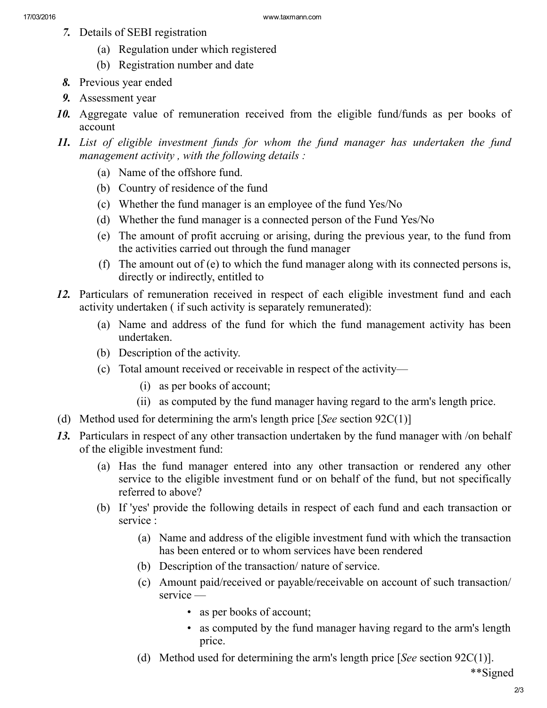- 7. Details of SEBI registration
	- (a) Regulation under which registered
	- (b) Registration number and date
- 8. Previous year ended
- 9. Assessment year
- 10. Aggregate value of remuneration received from the eligible fund/funds as per books of account
- 11. List of eligible investment funds for whom the fund manager has undertaken the fund management activity , with the following details :
	- (a) Name of the offshore fund.
	- (b) Country of residence of the fund
	- (c) Whether the fund manager is an employee of the fund Yes/No
	- (d) Whether the fund manager is a connected person of the Fund Yes/No
	- (e) The amount of profit accruing or arising, during the previous year, to the fund from the activities carried out through the fund manager
	- (f) The amount out of (e) to which the fund manager along with its connected persons is, directly or indirectly, entitled to
- 12. Particulars of remuneration received in respect of each eligible investment fund and each activity undertaken ( if such activity is separately remunerated):
	- (a) Name and address of the fund for which the fund management activity has been undertaken.
	- (b) Description of the activity.
	- (c) Total amount received or receivable in respect of the activity—
		- (i) as per books of account;
		- (ii) as computed by the fund manager having regard to the arm's length price.
- (d) Method used for determining the arm's length price  $[See section 92C(1)]$
- 13. Particulars in respect of any other transaction undertaken by the fund manager with /on behalf of the eligible investment fund:
	- (a) Has the fund manager entered into any other transaction or rendered any other service to the eligible investment fund or on behalf of the fund, but not specifically referred to above?
	- (b) If 'yes' provide the following details in respect of each fund and each transaction or service :
		- (a) Name and address of the eligible investment fund with which the transaction has been entered or to whom services have been rendered
		- (b) Description of the transaction/ nature of service.
		- (c) Amount paid/received or payable/receivable on account of such transaction/ service —
			- as per books of account;
			- as computed by the fund manager having regard to the arm's length price.
		- (d) Method used for determining the arm's length price  $[See section 92C(1)].$